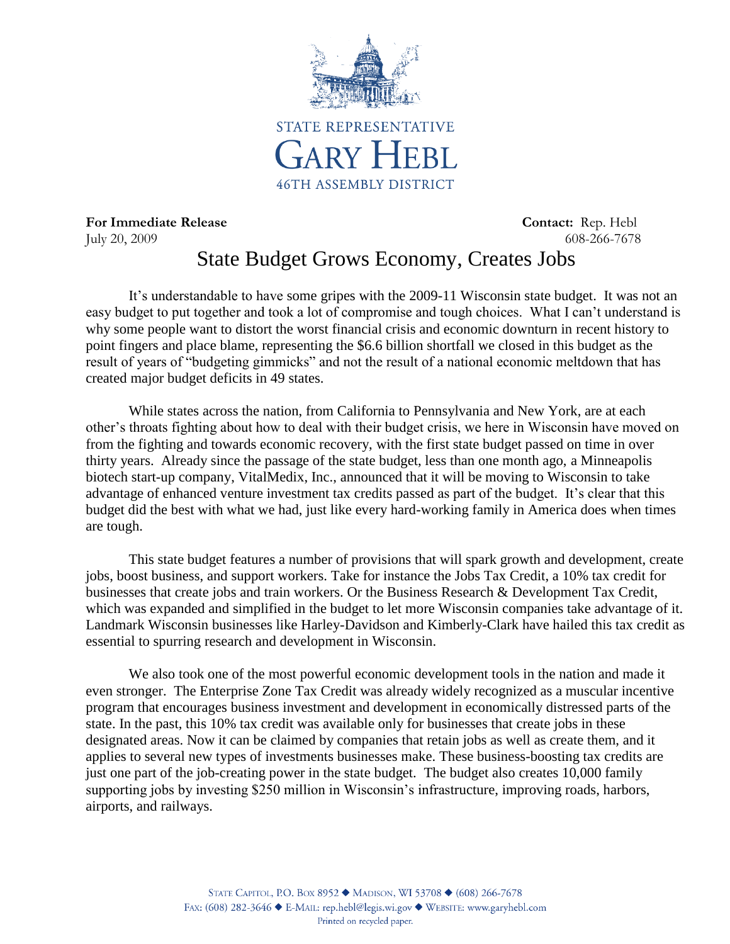

For Immediate Release **Contact:** Rep. Hebl July 20, 2009 608-266-7678

## State Budget Grows Economy, Creates Jobs

It's understandable to have some gripes with the 2009-11 Wisconsin state budget. It was not an easy budget to put together and took a lot of compromise and tough choices. What I can't understand is why some people want to distort the worst financial crisis and economic downturn in recent history to point fingers and place blame, representing the \$6.6 billion shortfall we closed in this budget as the result of years of "budgeting gimmicks" and not the result of a national economic meltdown that has created major budget deficits in 49 states.

While states across the nation, from California to Pennsylvania and New York, are at each other's throats fighting about how to deal with their budget crisis, we here in Wisconsin have moved on from the fighting and towards economic recovery, with the first state budget passed on time in over thirty years. Already since the passage of the state budget, less than one month ago, a Minneapolis biotech start-up company, VitalMedix, Inc., announced that it will be moving to Wisconsin to take advantage of enhanced venture investment tax credits passed as part of the budget. It's clear that this budget did the best with what we had, just like every hard-working family in America does when times are tough.

This state budget features a number of provisions that will spark growth and development, create jobs, boost business, and support workers. Take for instance the Jobs Tax Credit, a 10% tax credit for businesses that create jobs and train workers. Or the Business Research & Development Tax Credit, which was expanded and simplified in the budget to let more Wisconsin companies take advantage of it. Landmark Wisconsin businesses like Harley-Davidson and Kimberly-Clark have hailed this tax credit as essential to spurring research and development in Wisconsin.

We also took one of the most powerful economic development tools in the nation and made it even stronger. The Enterprise Zone Tax Credit was already widely recognized as a muscular incentive program that encourages business investment and development in economically distressed parts of the state. In the past, this 10% tax credit was available only for businesses that create jobs in these designated areas. Now it can be claimed by companies that retain jobs as well as create them, and it applies to several new types of investments businesses make. These business-boosting tax credits are just one part of the job-creating power in the state budget. The budget also creates 10,000 family supporting jobs by investing \$250 million in Wisconsin's infrastructure, improving roads, harbors, airports, and railways.